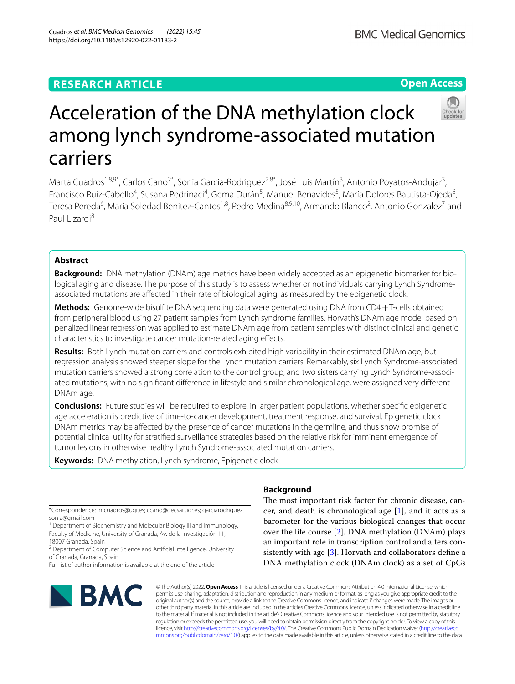# **RESEARCH ARTICLE**

# Acceleration of the DNA methylation clock among lynch syndrome-associated mutation carriers

Marta Cuadros<sup>1,8,9\*</sup>, Carlos Cano<sup>2\*</sup>, Sonia Garcia-Rodriguez<sup>2,8\*</sup>, José Luis Martín<sup>3</sup>, Antonio Poyatos-Andujar<sup>3</sup>, Francisco Ruiz-Cabello<sup>4</sup>, Susana Pedrinaci<sup>4</sup>, Gema Durán<sup>5</sup>, Manuel Benavides<sup>5</sup>, María Dolores Bautista-Ojeda<sup>6</sup>, Teresa Pereda<sup>6</sup>, Maria Soledad Benitez-Cantos<sup>1,8</sup>, Pedro Medina<sup>8,9,10</sup>, Armando Blanco<sup>2</sup>, Antonio Gonzalez<sup>7</sup> and Paul Lizardi<sup>8</sup>

# **Abstract**

Background: DNA methylation (DNAm) age metrics have been widely accepted as an epigenetic biomarker for biological aging and disease. The purpose of this study is to assess whether or not individuals carrying Lynch Syndromeassociated mutations are afected in their rate of biological aging, as measured by the epigenetic clock.

**Methods:** Genome-wide bisulfte DNA sequencing data were generated using DNA from CD4+T-cells obtained from peripheral blood using 27 patient samples from Lynch syndrome families. Horvath's DNAm age model based on penalized linear regression was applied to estimate DNAm age from patient samples with distinct clinical and genetic characteristics to investigate cancer mutation-related aging efects.

**Results:** Both Lynch mutation carriers and controls exhibited high variability in their estimated DNAm age, but regression analysis showed steeper slope for the Lynch mutation carriers. Remarkably, six Lynch Syndrome-associated mutation carriers showed a strong correlation to the control group, and two sisters carrying Lynch Syndrome-associated mutations, with no signifcant diference in lifestyle and similar chronological age, were assigned very diferent DNAm age.

**Conclusions:** Future studies will be required to explore, in larger patient populations, whether specifc epigenetic age acceleration is predictive of time-to-cancer development, treatment response, and survival. Epigenetic clock DNAm metrics may be afected by the presence of cancer mutations in the germline, and thus show promise of potential clinical utility for stratifed surveillance strategies based on the relative risk for imminent emergence of tumor lesions in otherwise healthy Lynch Syndrome-associated mutation carriers.

**Keywords:** DNA methylation, Lynch syndrome, Epigenetic clock

#### \*Correspondence: mcuadros@ugr.es; ccano@decsai.ugr.es; garciarodriguez. sonia@gmail.com

<sup>1</sup> Department of Biochemistry and Molecular Biology III and Immunology, Faculty of Medicine, University of Granada, Av. de la Investigación 11, 18007 Granada, Spain

<sup>2</sup> Department of Computer Science and Artificial Intelligence, University of Granada, Granada, Spain

Full list of author information is available at the end of the article

**BMC** 

#### © The Author(s) 2022. **Open Access** This article is licensed under a Creative Commons Attribution 4.0 International License, which permits use, sharing, adaptation, distribution and reproduction in any medium or format, as long as you give appropriate credit to the original author(s) and the source, provide a link to the Creative Commons licence, and indicate if changes were made. The images or other third party material in this article are included in the article's Creative Commons licence, unless indicated otherwise in a credit line to the material. If material is not included in the article's Creative Commons licence and your intended use is not permitted by statutory regulation or exceeds the permitted use, you will need to obtain permission directly from the copyright holder. To view a copy of this licence, visit [http://creativecommons.org/licenses/by/4.0/.](http://creativecommons.org/licenses/by/4.0/) The Creative Commons Public Domain Dedication waiver ([http://creativeco](http://creativecommons.org/publicdomain/zero/1.0/) [mmons.org/publicdomain/zero/1.0/](http://creativecommons.org/publicdomain/zero/1.0/)) applies to the data made available in this article, unless otherwise stated in a credit line to the data.

## **Background**

The most important risk factor for chronic disease, cancer, and death is chronological age [\[1](#page-6-0)], and it acts as a barometer for the various biological changes that occur over the life course [\[2](#page-6-1)]. DNA methylation (DNAm) plays an important role in transcription control and alters consistently with age  $[3]$  $[3]$ . Horvath and collaborators define a DNA methylation clock (DNAm clock) as a set of CpGs



**Open Access**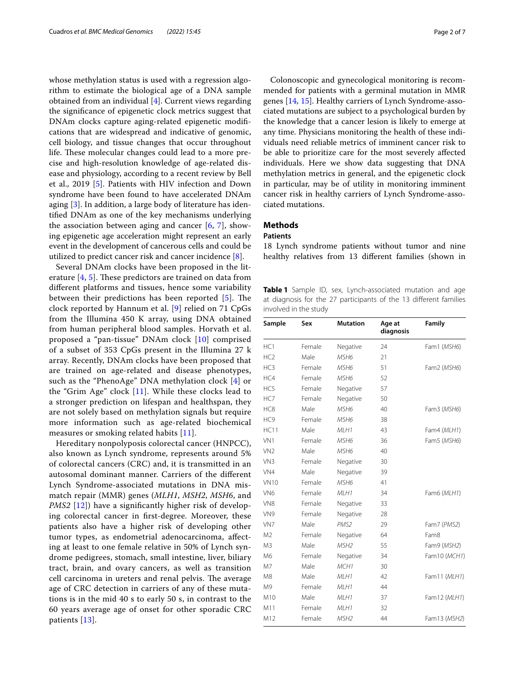whose methylation status is used with a regression algorithm to estimate the biological age of a DNA sample obtained from an individual [[4\]](#page-6-3). Current views regarding the signifcance of epigenetic clock metrics suggest that DNAm clocks capture aging-related epigenetic modifcations that are widespread and indicative of genomic, cell biology, and tissue changes that occur throughout life. These molecular changes could lead to a more precise and high-resolution knowledge of age-related disease and physiology, according to a recent review by Bell et al., 2019 [[5\]](#page-6-4). Patients with HIV infection and Down syndrome have been found to have accelerated DNAm aging [[3\]](#page-6-2). In addition, a large body of literature has identifed DNAm as one of the key mechanisms underlying the association between aging and cancer  $[6, 7]$  $[6, 7]$  $[6, 7]$  $[6, 7]$ , showing epigenetic age acceleration might represent an early event in the development of cancerous cells and could be utilized to predict cancer risk and cancer incidence  $[8]$  $[8]$ .

Several DNAm clocks have been proposed in the literature  $[4, 5]$  $[4, 5]$  $[4, 5]$ . These predictors are trained on data from diferent platforms and tissues, hence some variability between their predictions has been reported  $[5]$  $[5]$  $[5]$ . The clock reported by Hannum et al. [[9\]](#page-6-8) relied on 71 CpGs from the Illumina 450 K array, using DNA obtained from human peripheral blood samples. Horvath et al. proposed a "pan-tissue" DNAm clock [[10\]](#page-6-9) comprised of a subset of 353 CpGs present in the Illumina 27 k array. Recently, DNAm clocks have been proposed that are trained on age-related and disease phenotypes, such as the "PhenoAge" DNA methylation clock [[4\]](#page-6-3) or the "Grim Age" clock [[11\]](#page-6-10). While these clocks lead to a stronger prediction on lifespan and healthspan, they are not solely based on methylation signals but require more information such as age-related biochemical measures or smoking related habits [[11\]](#page-6-10).

Hereditary nonpolyposis colorectal cancer (HNPCC), also known as Lynch syndrome, represents around 5% of colorectal cancers (CRC) and, it is transmitted in an autosomal dominant manner. Carriers of the diferent Lynch Syndrome-associated mutations in DNA mismatch repair (MMR) genes (*MLH1*, *MSH2*, *MSH6*, and *PMS2* [\[12](#page-6-11)]) have a significantly higher risk of developing colorectal cancer in frst-degree. Moreover, these patients also have a higher risk of developing other tumor types, as endometrial adenocarcinoma, afecting at least to one female relative in 50% of Lynch syndrome pedigrees, stomach, small intestine, liver, biliary tract, brain, and ovary cancers, as well as transition cell carcinoma in ureters and renal pelvis. The average age of CRC detection in carriers of any of these mutations is in the mid 40 s to early 50 s, in contrast to the 60 years average age of onset for other sporadic CRC patients [\[13](#page-6-12)].

Colonoscopic and gynecological monitoring is recommended for patients with a germinal mutation in MMR genes [\[14](#page-6-13), [15\]](#page-6-14). Healthy carriers of Lynch Syndrome-associated mutations are subject to a psychological burden by the knowledge that a cancer lesion is likely to emerge at any time. Physicians monitoring the health of these individuals need reliable metrics of imminent cancer risk to be able to prioritize care for the most severely afected individuals. Here we show data suggesting that DNA methylation metrics in general, and the epigenetic clock in particular, may be of utility in monitoring imminent cancer risk in healthy carriers of Lynch Syndrome-associated mutations.

### **Methods**

#### **Patients**

18 Lynch syndrome patients without tumor and nine healthy relatives from 13 diferent families (shown in

<span id="page-1-0"></span>**Table 1** Sample ID, sex, Lynch-associated mutation and age at diagnosis for the 27 participants of the 13 diferent families involved in the study

| Sample          | Sex    | <b>Mutation</b>  | Age at<br>diagnosis | Family       |
|-----------------|--------|------------------|---------------------|--------------|
| HC1             | Female | Negative         | 24                  | Fam1 (MSH6)  |
| HC <sub>2</sub> | Male   | MSH <sub>6</sub> | 21                  |              |
| HC3             | Female | MSH6             | 51                  | Fam2 (MSH6)  |
| HC4             | Female | MSH <sub>6</sub> | 52                  |              |
| HC5             | Female | Negative         | 57                  |              |
| HC7             | Female | Negative         | 50                  |              |
| HC8             | Male   | MSH6             | 40                  | Fam3 (MSH6)  |
| HC9             | Female | MSH <sub>6</sub> | 38                  |              |
| <b>HC11</b>     | Male   | MLH1             | 43                  | Fam4 (MLH1)  |
| VN1             | Female | MSH <sub>6</sub> | 36                  | Fam5 (MSH6)  |
| VN <sub>2</sub> | Male   | MSH <sub>6</sub> | 40                  |              |
| VN <sub>3</sub> | Female | Negative         | 30                  |              |
| VN <sub>4</sub> | Male   | Negative         | 39                  |              |
| <b>VN10</b>     | Female | MSH <sub>6</sub> | 41                  |              |
| VN <sub>6</sub> | Female | MLH1             | 34                  | Fam6 (MLH1)  |
| VN8             | Female | Negative         | 33                  |              |
| VN9             | Female | Negative         | 28                  |              |
| VN7             | Male   | PMS <sub>2</sub> | 29                  | Fam7 (PMS2)  |
| M2              | Female | Negative         | 64                  | Fam8         |
| M <sub>3</sub>  | Male   | MSH <sub>2</sub> | 55                  | Fam9 (MSH2)  |
| M6              | Female | Negative         | 34                  | Fam10 (MCH1) |
| M7              | Male   | MCH <sub>1</sub> | 30                  |              |
| M8              | Male   | MLH1             | 42                  | Fam11 (MLH1) |
| M9              | Female | MLH1             | 44                  |              |
| M10             | Male   | MLH1             | 37                  | Fam12 (MLH1) |
| M11             | Female | MLH1             | 32                  |              |
| M12             | Female | MSH <sub>2</sub> | 44                  | Fam13 (MSH2) |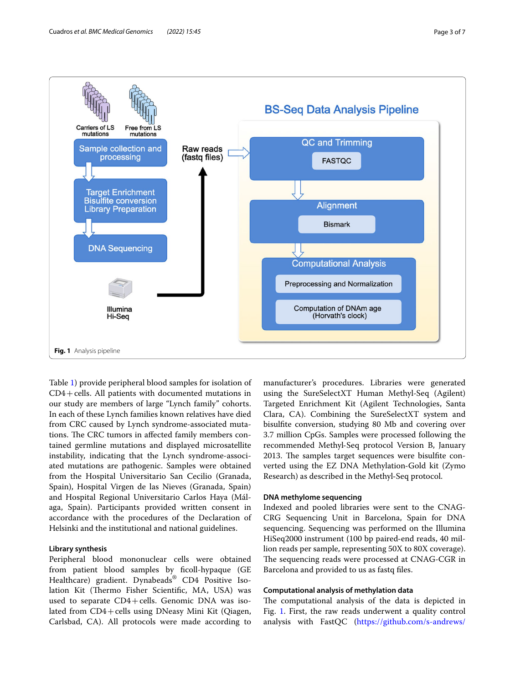

<span id="page-2-0"></span>Table [1](#page-1-0)) provide peripheral blood samples for isolation of CD4+cells. All patients with documented mutations in our study are members of large "Lynch family" cohorts. In each of these Lynch families known relatives have died from CRC caused by Lynch syndrome-associated mutations. The CRC tumors in affected family members contained germline mutations and displayed microsatellite instability, indicating that the Lynch syndrome-associated mutations are pathogenic. Samples were obtained from the Hospital Universitario San Cecilio (Granada, Spain), Hospital Virgen de las Nieves (Granada, Spain) and Hospital Regional Universitario Carlos Haya (Málaga, Spain). Participants provided written consent in accordance with the procedures of the Declaration of Helsinki and the institutional and national guidelines.

#### **Library synthesis**

Peripheral blood mononuclear cells were obtained from patient blood samples by ficoll-hypaque (GE Healthcare) gradient. Dynabeads® CD4 Positive Isolation Kit (Thermo Fisher Scientific, MA, USA) was used to separate  $CD4 + cells$ . Genomic DNA was isolated from CD4+cells using DNeasy Mini Kit (Qiagen, Carlsbad, CA). All protocols were made according to

manufacturer's procedures. Libraries were generated using the SureSelectXT Human Methyl-Seq (Agilent) Targeted Enrichment Kit (Agilent Technologies, Santa Clara, CA). Combining the SureSelectXT system and bisulfte conversion, studying 80 Mb and covering over 3.7 million CpGs. Samples were processed following the recommended Methyl‐Seq protocol Version B, January 2013. The samples target sequences were bisulfite converted using the EZ DNA Methylation‐Gold kit (Zymo Research) as described in the Methyl‐Seq protocol.

#### **DNA methylome sequencing**

Indexed and pooled libraries were sent to the CNAG-CRG Sequencing Unit in Barcelona, Spain for DNA sequencing. Sequencing was performed on the Illumina HiSeq2000 instrument (100 bp paired-end reads, 40 million reads per sample, representing 50X to 80X coverage). The sequencing reads were processed at CNAG-CGR in Barcelona and provided to us as fastq fles.

#### **Computational analysis of methylation data**

The computational analysis of the data is depicted in Fig. [1](#page-2-0). First, the raw reads underwent a quality control analysis with FastQC ([https://github.com/s-andrews/](https://github.com/s-andrews/FastQC)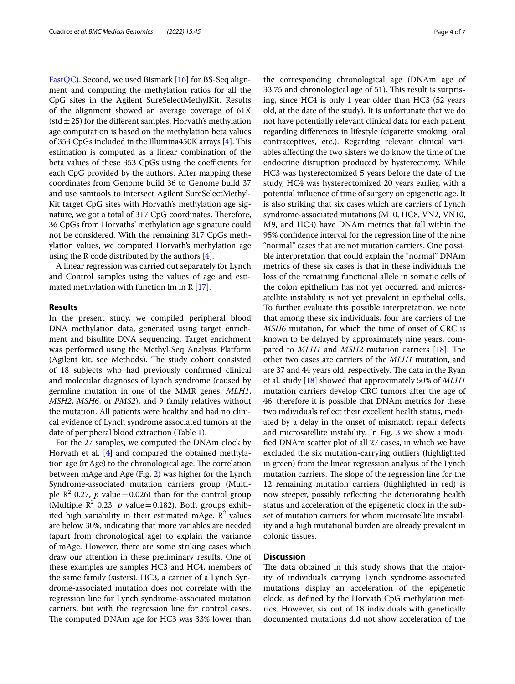[FastQC](https://github.com/s-andrews/FastQC)). Second, we used Bismark [\[16](#page-6-15)] for BS-Seq alignment and computing the methylation ratios for all the CpG sites in the Agilent SureSelectMethylKit. Results of the alignment showed an average coverage of 61X (std  $\pm$  25) for the different samples. Horvath's methylation age computation is based on the methylation beta values of 353 CpGs included in the Illumina450K arrays [[4\]](#page-6-3). This estimation is computed as a linear combination of the beta values of these 353 CpGs using the coefficients for each CpG provided by the authors. After mapping these coordinates from Genome build 36 to Genome build 37 and use samtools to intersect Agilent SureSelectMethyl-Kit target CpG sites with Horvath's methylation age signature, we got a total of 317 CpG coordinates. Therefore, 36 CpGs from Horvaths' methylation age signature could not be considered. With the remaining 317 CpGs methylation values, we computed Horvath's methylation age using the R code distributed by the authors  $[4]$  $[4]$ .

A linear regression was carried out separately for Lynch and Control samples using the values of age and estimated methylation with function  $\text{Im in } R$  [[17\]](#page-6-16).

#### **Results**

In the present study, we compiled peripheral blood DNA methylation data, generated using target enrichment and bisulfte DNA sequencing. Target enrichment was performed using the Methyl-Seq Analysis Platform (Agilent kit, see Methods). The study cohort consisted of 18 subjects who had previously confrmed clinical and molecular diagnoses of Lynch syndrome (caused by germline mutation in one of the MMR genes, *MLH1*, *MSH2*, *MSH6*, or *PMS2*), and 9 family relatives without the mutation. All patients were healthy and had no clinical evidence of Lynch syndrome associated tumors at the date of peripheral blood extraction (Table [1\)](#page-1-0).

For the 27 samples, we computed the DNAm clock by Horvath et al.  $[4]$  $[4]$  and compared the obtained methylation age (mAge) to the chronological age. The correlation between mAge and Age (Fig. [2\)](#page-4-0) was higher for the Lynch Syndrome-associated mutation carriers group (Multiple  $\mathbb{R}^2$  0.27, *p* value=0.026) than for the control group (Multiple  $\mathbb{R}^2$  0.23, *p* value = 0.182). Both groups exhibited high variability in their estimated mAge.  $\mathbb{R}^2$  values are below 30%, indicating that more variables are needed (apart from chronological age) to explain the variance of mAge. However, there are some striking cases which draw our attention in these preliminary results. One of these examples are samples HC3 and HC4, members of the same family (sisters). HC3, a carrier of a Lynch Syndrome-associated mutation does not correlate with the regression line for Lynch syndrome-associated mutation carriers, but with the regression line for control cases. The computed DNAm age for HC3 was 33% lower than

the corresponding chronological age (DNAm age of 33.75 and chronological age of 51). This result is surprising, since HC4 is only 1 year older than HC3 (52 years old, at the date of the study). It is unfortunate that we do not have potentially relevant clinical data for each patient regarding diferences in lifestyle (cigarette smoking, oral contraceptives, etc.). Regarding relevant clinical variables afecting the two sisters we do know the time of the endocrine disruption produced by hysterectomy. While HC3 was hysterectomized 5 years before the date of the study, HC4 was hysterectomized 20 years earlier, with a potential infuence of time of surgery on epigenetic age. It is also striking that six cases which are carriers of Lynch syndrome-associated mutations (M10, HC8, VN2, VN10, M9, and HC3) have DNAm metrics that fall within the 95% confdence interval for the regression line of the nine "normal" cases that are not mutation carriers. One possible interpretation that could explain the "normal" DNAm metrics of these six cases is that in these individuals the loss of the remaining functional allele in somatic cells of the colon epithelium has not yet occurred, and microsatellite instability is not yet prevalent in epithelial cells. To further evaluate this possible interpretation, we note that among these six individuals, four are carriers of the *MSH6* mutation, for which the time of onset of CRC is known to be delayed by approximately nine years, compared to *MLH1* and *MSH2* mutation carriers [[18\]](#page-6-17). The other two cases are carriers of the *MLH1* mutation, and are 37 and 44 years old, respectively. The data in the Ryan et al. study [\[18\]](#page-6-17) showed that approximately 50% of *MLH1* mutation carriers develop CRC tumors after the age of 46, therefore it is possible that DNAm metrics for these two individuals refect their excellent health status, mediated by a delay in the onset of mismatch repair defects and microsatellite instability. In Fig. [3](#page-5-0) we show a modifed DNAm scatter plot of all 27 cases, in which we have excluded the six mutation-carrying outliers (highlighted in green) from the linear regression analysis of the Lynch mutation carriers. The slope of the regression line for the 12 remaining mutation carriers (highlighted in red) is now steeper, possibly refecting the deteriorating health status and acceleration of the epigenetic clock in the subset of mutation carriers for whom microsatellite instability and a high mutational burden are already prevalent in colonic tissues.

#### **Discussion**

The data obtained in this study shows that the majority of individuals carrying Lynch syndrome-associated mutations display an acceleration of the epigenetic clock, as defned by the Horvath CpG methylation metrics. However, six out of 18 individuals with genetically documented mutations did not show acceleration of the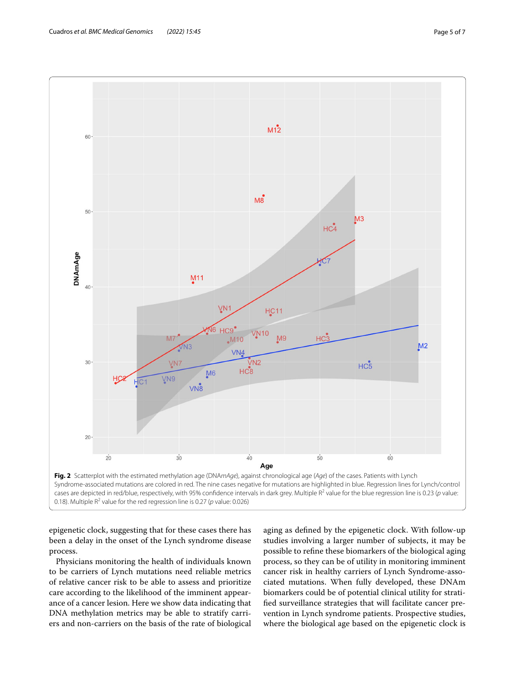

<span id="page-4-0"></span>epigenetic clock, suggesting that for these cases there has been a delay in the onset of the Lynch syndrome disease process.

Physicians monitoring the health of individuals known to be carriers of Lynch mutations need reliable metrics of relative cancer risk to be able to assess and prioritize care according to the likelihood of the imminent appearance of a cancer lesion. Here we show data indicating that DNA methylation metrics may be able to stratify carriers and non-carriers on the basis of the rate of biological aging as defned by the epigenetic clock. With follow-up studies involving a larger number of subjects, it may be possible to refne these biomarkers of the biological aging process, so they can be of utility in monitoring imminent cancer risk in healthy carriers of Lynch Syndrome-associated mutations. When fully developed, these DNAm biomarkers could be of potential clinical utility for stratifed surveillance strategies that will facilitate cancer prevention in Lynch syndrome patients. Prospective studies, where the biological age based on the epigenetic clock is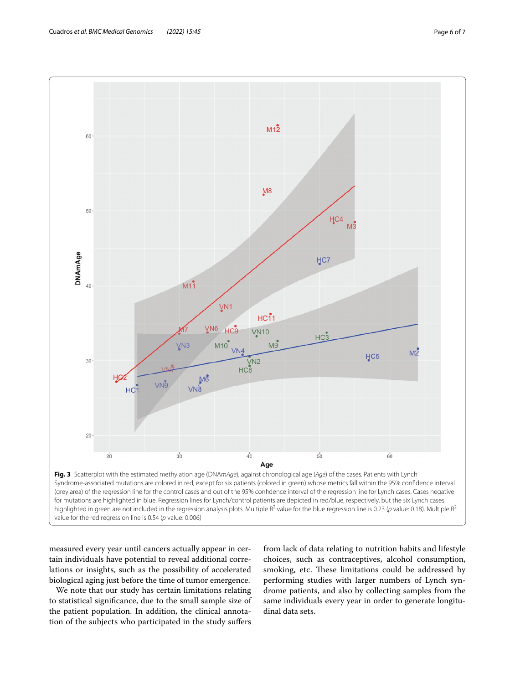

<span id="page-5-0"></span>measured every year until cancers actually appear in certain individuals have potential to reveal additional correlations or insights, such as the possibility of accelerated biological aging just before the time of tumor emergence.

We note that our study has certain limitations relating to statistical signifcance, due to the small sample size of the patient population. In addition, the clinical annotation of the subjects who participated in the study sufers

from lack of data relating to nutrition habits and lifestyle choices, such as contraceptives, alcohol consumption, smoking, etc. These limitations could be addressed by performing studies with larger numbers of Lynch syndrome patients, and also by collecting samples from the same individuals every year in order to generate longitudinal data sets.